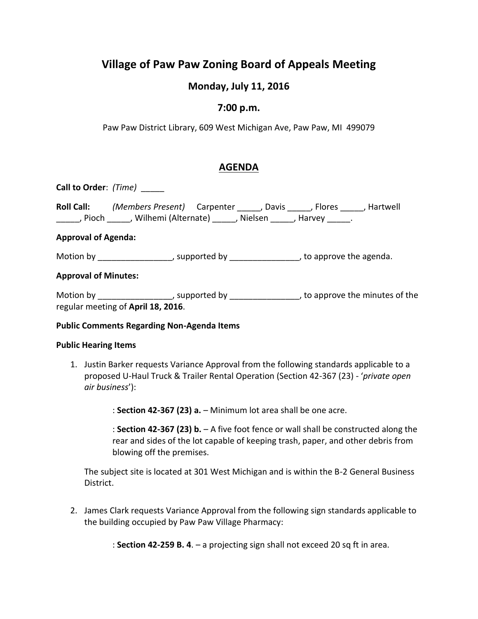# **Village of Paw Paw Zoning Board of Appeals Meeting**

# **Monday, July 11, 2016**

### **7:00 p.m.**

Paw Paw District Library, 609 West Michigan Ave, Paw Paw, MI 499079

## **AGENDA**

**Call to Order**: *(Time)* \_\_\_\_\_

| <b>Roll Call:</b> | (Members Present) Carpenter | . Davis   | . Flores | , Hartwell |
|-------------------|-----------------------------|-----------|----------|------------|
| . Pioch           | Wilhemi (Alternate)         | . Nielsen | , Harvey |            |

#### **Approval of Agenda:**

Motion by \_\_\_\_\_\_\_\_\_\_\_\_\_\_\_\_\_\_, supported by \_\_\_\_\_\_\_\_\_\_\_\_\_\_\_\_\_, to approve the agenda.

#### **Approval of Minutes:**

Motion by \_\_\_\_\_\_\_\_\_\_\_\_\_\_\_\_\_, supported by \_\_\_\_\_\_\_\_\_\_\_\_\_\_\_\_\_\_, to approve the minutes of the regular meeting of **April 18, 2016**.

#### **Public Comments Regarding Non-Agenda Items**

#### **Public Hearing Items**

1. Justin Barker requests Variance Approval from the following standards applicable to a proposed U-Haul Truck & Trailer Rental Operation (Section 42-367 (23) - '*private open air business*'):

: **Section 42-367 (23) a.** – Minimum lot area shall be one acre.

: **Section 42-367 (23) b.** – A five foot fence or wall shall be constructed along the rear and sides of the lot capable of keeping trash, paper, and other debris from blowing off the premises.

The subject site is located at 301 West Michigan and is within the B-2 General Business District.

2. James Clark requests Variance Approval from the following sign standards applicable to the building occupied by Paw Paw Village Pharmacy:

: **Section 42-259 B. 4**. – a projecting sign shall not exceed 20 sq ft in area.